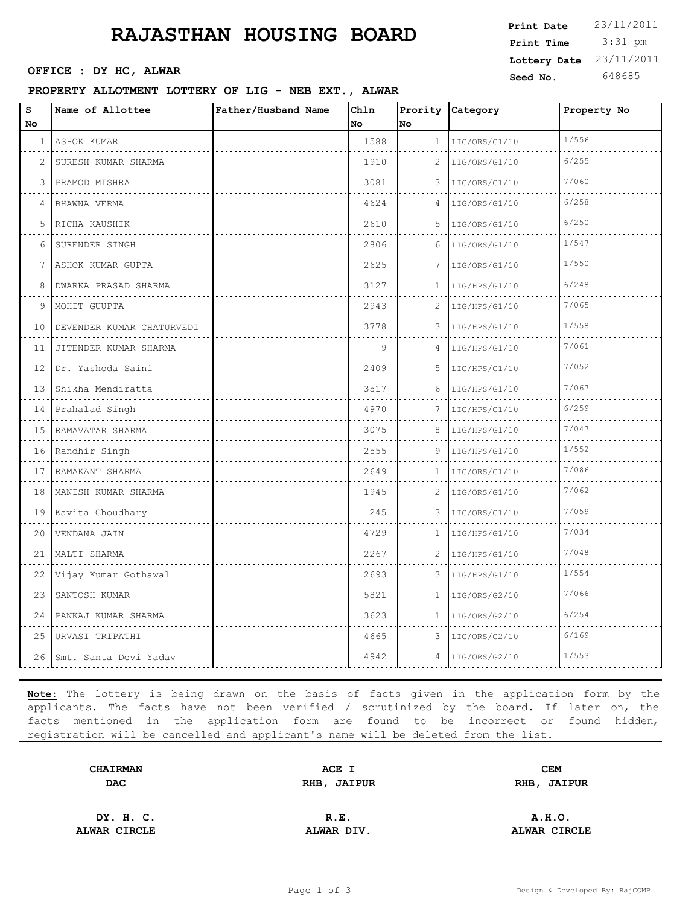# **RAJASTHAN HOUSING BOARD**

**Seed No.** 648685 **OFFICE : DY HC, ALWAR**

### **PROPERTY ALLOTMENT LOTTERY OF LIG - NEB EXT., ALWAR**

| Print Date   | 23/11/2011 |
|--------------|------------|
| Print Time   | $3:31$ pm  |
| Lottery Date | 23/11/2011 |
| Seed No.     | 648685     |

| S<br>No      | Name of Allottee           | Father/Husband Name | Chln<br>No. | No           | Prority Category | Property No |
|--------------|----------------------------|---------------------|-------------|--------------|------------------|-------------|
| $\mathbf{1}$ | ASHOK KUMAR<br>.           |                     | 1588        | $\mathbf{1}$ | LIG/ORS/G1/10    | 1/556       |
| $\mathbf{2}$ | SURESH KUMAR SHARMA        |                     | 1910        | 2            | LIG/ORS/G1/10    | 6/255       |
| 3            | PRAMOD MISHRA              |                     | 3081        | 3            | LIG/ORS/G1/10    | 7/060       |
| 4            | .<br>BHAWNA VERMA          |                     | 4624        | 4            | LIG/ORS/G1/10    | 6/258       |
| 5            | .<br>RICHA KAUSHIK         |                     | 2610        | 5            | LIG/ORS/G1/10    | 6/250       |
| 6            | SURENDER SINGH             |                     | 2806        | 6            | LIG/ORS/G1/10    | 1/547       |
| 7            | ASHOK KUMAR GUPTA<br>.     |                     | 2625        | 7            | LIG/ORS/G1/10    | 1/550       |
| 8            | DWARKA PRASAD SHARMA       |                     | 3127        | 1            | LIG/HPS/G1/10    | 6/248       |
| 9            | MOHIT GUUPTA               |                     | 2943        | 2            | LIG/HPS/G1/10    | 7/065       |
| 10           | DEVENDER KUMAR CHATURVEDI  |                     | 3778        | 3            | LIG/HPS/G1/10    | 1/558       |
| 11           | JITENDER KUMAR SHARMA<br>. |                     | 9           | 4            | LIG/HPS/G1/10    | 7/061       |
| 12           | Dr. Yashoda Saini          |                     | 2409        | 5            | LIG/HPS/G1/10    | 7/052       |
| 13           | Shikha Mendiratta          |                     | 3517        | 6            | LIG/HPS/G1/10    | 7/067       |
| 14           | Prahalad Singh             |                     | 4970        | 7            | LIG/HPS/G1/10    | 6/259       |
| 15           | RAMAVATAR SHARMA<br>.      |                     | 3075        | 8            | LIG/HPS/G1/10    | 7/047       |
| 16           | Randhir Singh              |                     | 2555        | 9            | LIG/HPS/G1/10    | 1/552       |
| 17           | RAMAKANT SHARMA<br>.       |                     | 2649        | 1            | LIG/ORS/G1/10    | 7/086       |
| 18           | MANISH KUMAR SHARMA        |                     | 1945        | 2            | LIG/ORS/G1/10    | 7/062       |
| 19           | Kavita Choudhary           |                     | 245         | 3            | LIG/ORS/G1/10    | 7/059       |
| 20           | VENDANA JAIN               |                     | 4729        | 1            | LIG/HPS/G1/10    | 7/034       |
| 21           | MALTI SHARMA               |                     | 2267        | 2            | LIG/HPS/G1/10    | 7/048       |
| 22           | Vijay Kumar Gothawal       |                     | 2693        | 3            | LIG/HPS/G1/10    | 1/554       |
| 23           | SANTOSH KUMAR              |                     | 5821        | 1            | LIG/ORS/G2/10    | 7/066       |
| 24           | PANKAJ KUMAR SHARMA        |                     | 3623        | 1            | LIG/ORS/G2/10    | 6/254       |
| 25           | URVASI TRIPATHI            |                     | 4665        | 3            | LIG/ORS/G2/10    | 6/169       |
| 26           | Smt. Santa Devi Yadav      |                     | 4942        | 4            | LIG/ORS/G2/10    | 1/553       |

**Note:** The lottery is being drawn on the basis of facts given in the application form by the applicants. The facts have not been verified / scrutinized by the board. If later on, the facts mentioned in the application form are found to be incorrect or found hidden, registration will be cancelled and applicant's name will be deleted from the list.

| <b>CHAIRMAN</b> | ACE I              | <b>CEM</b>  |  |
|-----------------|--------------------|-------------|--|
| <b>DAC</b>      | <b>RHB, JAIPUR</b> | RHB, JAIPUR |  |
|                 |                    |             |  |

**DY. H. C. R.E. A.H.O. ALWAR CIRCLE ALWAR DIV. ALWAR CIRCLE**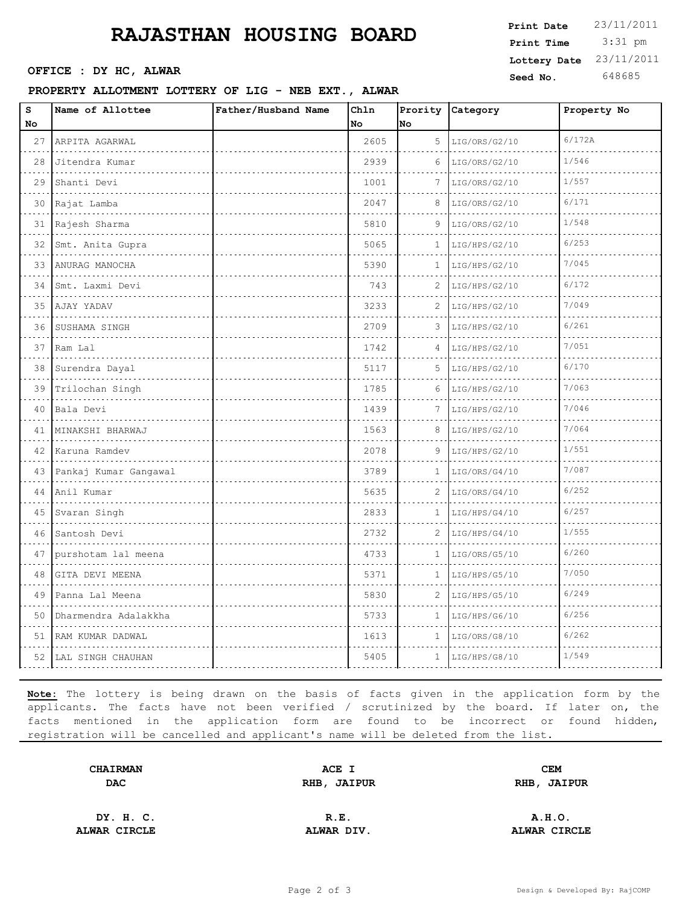# **RAJASTHAN HOUSING BOARD**

**Seed No.** 648685 **OFFICE : DY HC, ALWAR**

#### **PROPERTY ALLOTMENT LOTTERY OF LIG - NEB EXT., ALWAR**

| Print Date   | 23/11/2011 |
|--------------|------------|
| Print Time   | $3:31$ pm  |
| Lottery Date | 23/11/2011 |
| Seed No.     | 648685     |

| $\mathtt{s}$<br>No | Name of Allottee           | Father/Husband Name | Chln<br>No | No           | Prority Category | Property No |
|--------------------|----------------------------|---------------------|------------|--------------|------------------|-------------|
|                    | 27 ARPITA AGARWAL          |                     | 2605       | 5            | LIG/ORS/G2/10    | 6/172A      |
| 28                 | Jitendra Kumar             |                     | 2939       | 6            | LIG/ORS/G2/10    | 1/546       |
| 29                 | Shanti Devi                |                     | 1001       | 7            | LIG/ORS/G2/10    | 1/557       |
| 30                 | Rajat Lamba                |                     | 2047       | 8            | LIG/ORS/G2/10    | 6/171       |
| 31                 | Rajesh Sharma              |                     | 5810       | 9            | LIG/ORS/G2/10    | 1/548       |
| 32                 | Smt. Anita Gupra           |                     | 5065       | 1            | LIG/HPS/G2/10    | 6/253       |
|                    | 33   ANURAG MANOCHA        |                     | 5390       | 1            | LIG/HPS/G2/10    | 7/045       |
| 34                 | Smt. Laxmi Devi            |                     | 743        | 2            | LIG/HPS/G2/10    | 6/172       |
| .<br>35            | AJAY YADAV                 |                     | 3233       | 2            | LIG/HPS/G2/10    | 7/049       |
| 36                 | SUSHAMA SINGH              |                     | 2709       | 3            | LIG/HPS/G2/10    | 6/261       |
| 37                 | Ram Lal                    |                     | 1742       | 4            | LIG/HPS/G2/10    | 7/051       |
| 38                 | Surendra Dayal             |                     | 5117       | 5            | LIG/HPS/G2/10    | 6/170       |
| 39                 | Trilochan Singh            |                     | 1785       | 6            | LIG/HPS/G2/10    | 7/063       |
| 40                 | Bala Devi                  |                     | 1439       | 7            | LIG/HPS/G2/10    | 7/046       |
| 41                 | MINAKSHI BHARWAJ           |                     | 1563       | 8            | LIG/HPS/G2/10    | 7/064       |
|                    | 42 Karuna Ramdev           |                     | 2078       | 9            | LIG/HPS/G2/10    | 1/551       |
|                    | 43   Pankaj Kumar Gangawal |                     | 3789       | 1            | LIG/ORS/G4/10    | 7/087       |
| 44                 | Anil Kumar                 |                     | 5635       | 2            | LIG/ORS/G4/10    | 6/252       |
|                    | 45 Svaran Singh            |                     | 2833       | 1            | LIG/HPS/G4/10    | 6/257       |
| 46                 | Santosh Devi               |                     | 2732       | 2            | LIG/HPS/G4/10    | 1/555       |
| 47                 | purshotam lal meena        |                     | 4733       | 1            | LIG/ORS/G5/10    | 6/260       |
| 48                 | GITA DEVI MEENA            |                     | 5371       | $\mathbf{1}$ | LIG/HPS/G5/10    | 7/050       |
| 49                 | Panna Lal Meena            |                     | 5830       | 2            | LIG/HPS/G5/10    | 6/249       |
| 50                 | Dharmendra Adalakkha       |                     | 5733       | 1            | LIG/HPS/G6/10    | 6/256       |
|                    | 51 RAM KUMAR DADWAL        |                     | 1613       | $\mathbf{1}$ | LIG/ORS/G8/10    | 6/262       |
|                    | 52 LAL SINGH CHAUHAN       |                     | 5405       | $\mathbf{1}$ | LIG/HPS/G8/10    | 1/549       |

**Note:** The lottery is being drawn on the basis of facts given in the application form by the applicants. The facts have not been verified / scrutinized by the board. If later on, the facts mentioned in the application form are found to be incorrect or found hidden, registration will be cancelled and applicant's name will be deleted from the list.

| <b>CHAIRMAN</b> | ACE I       | <b>CEM</b>  |  |
|-----------------|-------------|-------------|--|
| <b>DAC</b>      | RHB, JAIPUR | RHB, JAIPUR |  |
|                 |             |             |  |

**ALWAR CIRCLE ALWAR DIV. ALWAR CIRCLE**

**DY. H. C. R.E. A.H.O.**